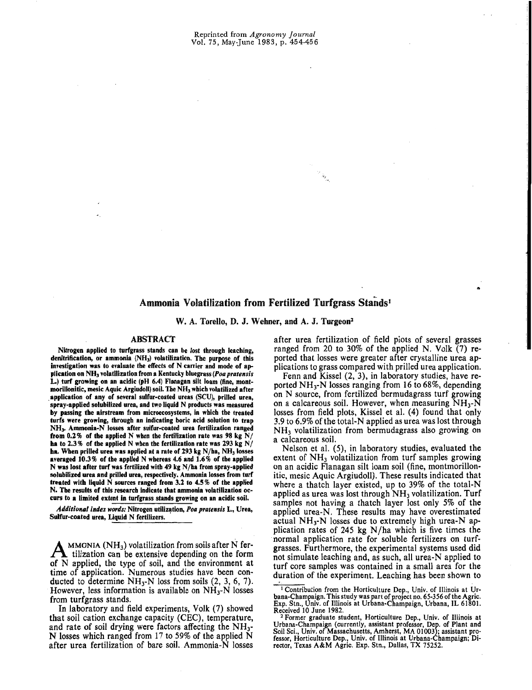# Ammonia Volatilization from Fertilized Turfgrass Stands'

W. A. Torello, D. J. Wehner, and A. J. Turgeon<sup>2</sup>

## ABSTRACT

Nitrogen applied to turfgrass stands can be lost through leaching, denitrification, or ammonia  $(NH<sub>3</sub>)$  volatilization. The purpose of this investigation was to evaluate the effects of N carrier and mode of application on NH<sub>3</sub> volatilization from a Kentucky bluegrass (Poa pratensis L.) turf growing on an acidic (pH 6.4) Flanagan silt loam (fine, montmorillonitic, mesic Aquic Argiudoll) soil. The NH<sub>3</sub> which volatilized after .application of any of senral sulfur-coated ureas (SCU), prilled urea, spray-applied solubilized urea, and two liquid N products was measured by passing the airstream from microecosystems, in which the treated turfs were growing, througb an indicating boric acid solution to trap NH). Ammonia-N losses after sulfur-coated urea fertilization ranged from 0.2% of the applied N when the fertilization rate was 98 kg N/ **ba** to 2.3 % of tbe applied N wben tbe fertilization rate was 293 kg *NI*  ha. When prilled urea was applied at a rate of 293 kg  $N/h$ a,  $NH<sub>3</sub>$  losses averaged 10.3% of tbe applied N wbereas 4.6 and 1.6% of tbe applied N was lost after turf was fertilized with 49 kg  $N/ha$  from spray-applied solubilized urea and prilled urea, respectively. Ammonia losses from turf treated with liquid N sources ranged from 3.2 to 4.5% of the applied N. The results of this research indicate that ammonia volatilization occurs to a limited extent in turfgrass stands growing on an acidic soil.

Additional index words: Nitrogen utilization, Poa pratensis L., Urea, Sulfur-coated urea, Liquid N fertilizers.

 $A_{\text{tilization}}$  (NH<sub>3</sub>) volatilization from soils after N fer-<br>tilization can be extensive depending on the form of N applied, the type of soil, and the environment at time of application. Numerous studies have been conducted to determine  $NH<sub>3</sub>$ -N loss from soils  $(2, 3, 6, 7)$ . However, less information is available on  $NH_3-N$  losses from turfgrass stands.

In laboratory and field experiments, Yolk (7) showed that soil cation exchange capacity (CEC), temperature, and rate of soil drying were factors affecting the NH3- N losses which ranged from 17 to 59% of the applied N after urea fertilization of bare soil. Ammonia-N losses

after urea fertilization of field piots of several grasses ranged from 20 to 30% of the applied N. Yolk (7) reported that losses were greater after crystalline urea applications to grass compared with prilled urea application.

..

Fenn and Kissel (2, 3), in laboratory studies, have reported  $NH_3-N$  losses ranging from 16 to 68%, depending on N source, from fertilized bermudagrass turf growing on a calcareous soil. However, when measuring  $NH<sub>3</sub>-N$ losses from field plots, Kissel et al. (4) found that only 3.9 to 6.9% of the total-N applied as urea was lost through NH3 volatilization from bermudagrass also growing on a calcareous soil.

Nelson et al. (5), in laboratory studies, evaluated the extent of  $NH<sub>3</sub>$  volatilization from turf samples growing on an acidic Flanagan silt loam soil (fine, montmorillonitic, mesic Aquic Argiudoll). These results indicated that where a thatch layer existed, up to 39% of the total-N applied as urea was lost through  $NH<sub>3</sub>$  volatilization. Turf samples not having a thatch layer lost only 5% of the applied urea-N. These results may have overestimated actual  $NH<sub>3</sub>-N$  losses due to extremely high urea-N application rates of 245 kg  $N/ha$  which is five times the normal application rate for soluble fertilizers on turfgrasses. Furthermore, the experimental systems used did not simulate leaching and, as such, all urea-N applied to turf core samples was contained in a small area for the duration of the experiment. Leaching has been shown to

<sup>1</sup> Contribution from the Horticulture Dep., Univ. of lIIinois at Ur-bana-Champaign. This study was part of project no. 65-356 of the Agric. Exp. Stn., Univ. of Illinois at Urbana-Champaign, Urbana, IL 61801. Received 10 June 1982.<br><sup>2</sup> Former graduate student, Horticulture Dep., Univ. of Illinois at

Urbana-Champaign (currently, assistant professor, Dep. of Plant and Soil Sci., Univ. of Massachusetts, Amherst, MA 01003); assistant pro-fessor, Horticulture Dep., Univ. of Illinois at Urbana-Champaign; Director, Texas A&M Agric. Exp. Stn., Dallas, TX 75252.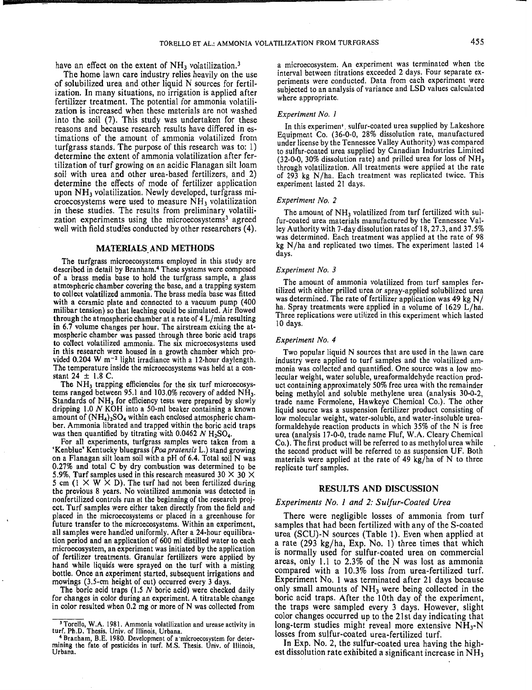have an effect on the extent of  $NH<sub>3</sub>$  volatilization.<sup>3</sup>

**5** 

The home lawn care industry relies heavily on the use of solubilized urea and other liquid N sources for fertilization. In many situations, no irrigation is applied after fertilizer treatment. The potential for ammonia volatilization is increased when these materials are not washed into the soil (7). This study was undertaken for these reasons and because research results have differed in estimations of the amount of ammonia volatilized from turfgrass stands. The purpose of this research was to: 1) determine the extent of ammonia volatilization after fertilization of turf growing on an acidic Flanagan silt loam soil with urea and other urea-based fertilizers, and 2) determine the effects of mode of fertilizer application upon NH3 volatilization. Newly developed, turfgrass microecosystems were used to measure NH3 volatilization in these studies. The results from preliminary volatilization experiments using the microecosystems<sup>3</sup> agreed well with field studies conducted by other researchers (4).

## MATERIALS,AND METHODS

The turfgrass microecosystems employed in this study are described in detail by Branham.4 These systems were composed of a brass media base to hold the turfgrass sample, a glass atmospheric chamber covering the base, and a trapping system to collect volatilized ammonia. The brass media base was fitted with a ceramic plate and connected to a vacuum pump (400 milibar tension) so that leaching could be simulated. Air flowed through the atmospheric chamber at a rate of 4 L/min resulting in 6.7 volume changes per hour. The airstream exiting the atmospheric chamber was passed through three boric acid traps to collect volatilized ammonia. The six microecosystems used in this research were housed in a growth chamber which provided 0.204 W m<sup>-2</sup> light irradiance with a 12-hour daylength. The temperature inside the microecosystems was held at a constant  $24 \pm 1.8$  C.

The NH<sub>3</sub> trapping efficiencies for the six turf microecosystems ranged between 95.1 and 103.0% recovery of added  $NH<sub>3</sub>$ . Standards of NH<sub>3</sub> for efficiency tests were prepared by slowly dripping 1.0 N KOH into a 50-ml beaker containing a known amount of  $(NH_4)_2SO_4$  within each enclosed atmospheric chamber. Ammonia librated and trapped within the boric acid traps was then quantified by titrating with 0.0462 N  $H_2SO_4$ .

For all experiments, turfgrass samples were taken from a 'Kenblue' Kentucky bluegrass *(Poa pratensis* L.) stand growing on a Flanagan silt loam soil with a pH of 6.4. Total soil N was 0.27% and total C by dry combustion was determined to be 5.9%, Turf samples used in this research measured 30  $\times$  30  $\times$ 5 cm ( $1 \times W \times D$ ). The turf had not been fertilized during the previous 8 years. No volatilized ammonia was detected in nonfertilized controls run at the beginning of the research project. Turf samples were either taken directly from the field and placed in the microecosystems or placed in a greenhouse for future transfer to the microecosystems. Within an experiment, all samples were handled uniformly. After a 24·hour equilibration period and an application of 600 ml distilled water to each microecosystem, an experiment was initiated by the application of fertilizer treatments. Granular fertilizers were applied by hand while liquids were sprayed on the turf with a misting bottle. Once an experiment started, subsequent irrigations and mowings (3.5-cm height of cut) occurred every 3 days.

The boric acid traps (1.5 N boric acid) were checked daily for changes in color during an experiment. A titratable change in color resulted when 0.2 mg or more of N was collected from a microecosystem. An experiment was terminated when the interval between titrations exceeded 2 days. Four separate experiments were conducted. Data from each experiment were subjected to an analysis of variance and LSD values calculated where appropriate.

#### *Experiment No. I*

In this experimen<sup>t</sup>, sulfur-coated urea supplied by Lakeshore Equipment Co. (36-0-0, 28% dissolution rate, manufactured under license by the Tennessee Valley Authority) was compared to sulfur-coated urea supplied by Canadian Industries Limited  $(32-0-0, 30\%$  dissolution rate) and prilled urea for loss of NH<sub>3</sub> through volatilization. All treatments were applied at the rate of 293 kg N/ha. Each treatment was replicated twice. This experiment lasted 21 days.

#### *Experiment No, 2*

The amount of NH<sub>3</sub> volatilized from turf fertilized with sulfur-coated urea materials manufactured by the Tennessee Valley Authority with 7-day dissolution rates of 18, 27.3, and 37.5% was determined. Each treatment was applied at the rate of 98 kg N/ha and replicated two times. The experiment lasted 14 days.

#### *Experiment No.3*

The amount of ammonia volatilized from turf samples fertilized with either prilled urea or spray-applied solubilized urea was determined. The rate of fertilizer application was 49 kg N/ ha. Spray treatments were applied in a volume of 1629 L/ha. Three replications were utilized in this experiment which lasted 10 days.

#### *Experiment No.4*

Two popular liquid N sources that are used in the lawn care industry were applied to turf samples and the volatilized ammonia was collected and quantified. One source was a Jow molecular weight, water soluble, ureaformaldehyde reaction product containing approximately 50% free urea with the remainder being methylol and soluble methylene urea (analysis 30-0-2, trade name Formolene, Hawkeye Chemical Co.). The other liquid source was a suspension fertilizer product consisting of low molecular weight, water-soluble, and water-insoluble urea· formaldehyde reaction products in which 35% of the N is free urea (analysis 17-0-0, trade name Fluf, W.A. Cleary Chemical Co.). The first product will be referred to as methylol urea while the second product will be referred to as suspension UF. Both materials were applied at the rate of 49 kg/ha of N to three replicate turf samples.

## RESULTS AND DISCUSSION

#### *Experiments No.1 and* 2: *Sulfur-Coated Urea*

There were negligible losses of ammonia from turf samples that had been fertilized with any of the S-coated urea (SCU)-N sources (Table 1). Even when applied at a rate (293 kg/ha, Exp. No.1) three times that which is normally used for sulfur-coated urea on commercial areas, only 1.1 to 2.3% of the N was lost as ammonia compared with a 10.3% loss from urea·fertilized turf. Experiment No.1 was terminated after 21 days because only small amounts of  $NH<sub>3</sub>$  were being collected in the boric acid traps. After the 10th day of the experiment, the traps were sampled every 3 days. However, slight color changes occurred up to the 21st day indicating that long-term studies might reveal more extensive  $NH_3-N$ losses from sulfur-coated urea-fertilized turf.

In Exp. No. 2, the sulfur-coated urea having the highest dissolution rate exhibited a significant increase in  $NH<sub>3</sub>$ 

<sup>&</sup>lt;sup>3</sup> Torello, W.A. 1981. Ammonia volatilization and urease activity in turf. Ph.D. Thesis. Univ. of Illinois, Urbana.<br><sup>4</sup> Branham, B.E. 1980. Development of a microecosystem for deter-

mining the fate of pesticides in turf. M.S. Thesis. Univ. of Illinois,<br>Urbana.